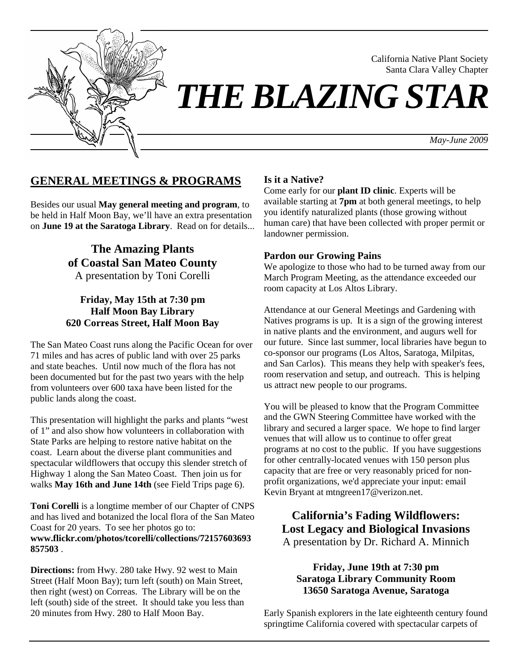

California Native Plant Society Santa Clara Valley Chapter

# *THE BLAZING STAR*

*May-June 2009*

# **GENERAL MEETINGS & PROGRAMS**

Besides our usual **May general meeting and program**, to be held in Half Moon Bay, we'll have an extra presentation on **June 19 at the Saratoga Library**. Read on for details...

> **The Amazing Plants of Coastal San Mateo County**  A presentation by Toni Corelli

## **Friday, May 15th at 7:30 pm Half Moon Bay Library 620 Correas Street, Half Moon Bay**

The San Mateo Coast runs along the Pacific Ocean for over 71 miles and has acres of public land with over 25 parks and state beaches. Until now much of the flora has not been documented but for the past two years with the help from volunteers over 600 taxa have been listed for the public lands along the coast.

This presentation will highlight the parks and plants "west of 1" and also show how volunteers in collaboration with State Parks are helping to restore native habitat on the coast. Learn about the diverse plant communities and spectacular wildflowers that occupy this slender stretch of Highway 1 along the San Mateo Coast. Then join us for walks **May 16th and June 14th** (see Field Trips page 6).

**Toni Corelli** is a longtime member of our Chapter of CNPS and has lived and botanized the local flora of the San Mateo Coast for 20 years. To see her photos go to: **www.flickr.com/photos/tcorelli/collections/72157603693 857503** .

**Directions:** from Hwy. 280 take Hwy. 92 west to Main Street (Half Moon Bay); turn left (south) on Main Street, then right (west) on Correas. The Library will be on the left (south) side of the street. It should take you less than 20 minutes from Hwy. 280 to Half Moon Bay.

#### **Is it a Native?**

Come early for our **plant ID clinic**. Experts will be available starting at **7pm** at both general meetings, to help you identify naturalized plants (those growing without human care) that have been collected with proper permit or landowner permission.

#### **Pardon our Growing Pains**

We apologize to those who had to be turned away from our March Program Meeting, as the attendance exceeded our room capacity at Los Altos Library.

Attendance at our General Meetings and Gardening with Natives programs is up. It is a sign of the growing interest in native plants and the environment, and augurs well for our future. Since last summer, local libraries have begun to co-sponsor our programs (Los Altos, Saratoga, Milpitas, and San Carlos). This means they help with speaker's fees, room reservation and setup, and outreach. This is helping us attract new people to our programs.

You will be pleased to know that the Program Committee and the GWN Steering Committee have worked with the library and secured a larger space. We hope to find larger venues that will allow us to continue to offer great programs at no cost to the public. If you have suggestions for other centrally-located venues with 150 person plus capacity that are free or very reasonably priced for nonprofit organizations, we'd appreciate your input: email Kevin Bryant at mtngreen17@verizon.net.

**California's Fading Wildflowers: Lost Legacy and Biological Invasions**  A presentation by Dr. Richard A. Minnich

## **Friday, June 19th at 7:30 pm Saratoga Library Community Room 13650 Saratoga Avenue, Saratoga**

Early Spanish explorers in the late eighteenth century found springtime California covered with spectacular carpets of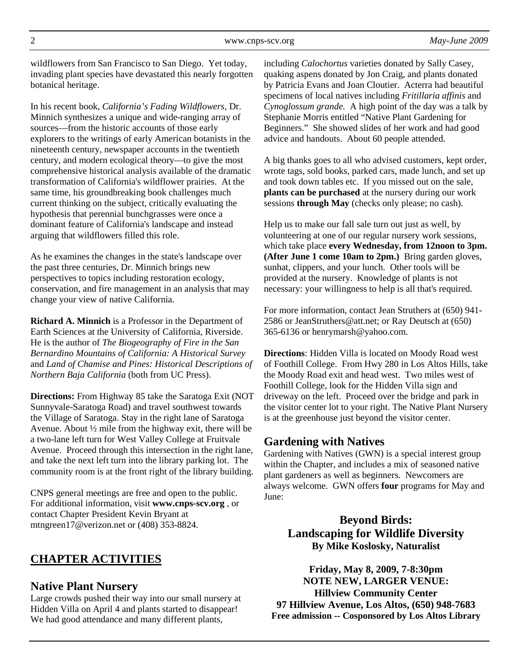wildflowers from San Francisco to San Diego. Yet today, invading plant species have devastated this nearly forgotten botanical heritage.

In his recent book, *California's Fading Wildflowers*, Dr. Minnich synthesizes a unique and wide-ranging array of sources—from the historic accounts of those early explorers to the writings of early American botanists in the nineteenth century, newspaper accounts in the twentieth century, and modern ecological theory—to give the most comprehensive historical analysis available of the dramatic transformation of California's wildflower prairies. At the same time, his groundbreaking book challenges much current thinking on the subject, critically evaluating the hypothesis that perennial bunchgrasses were once a dominant feature of California's landscape and instead arguing that wildflowers filled this role.

As he examines the changes in the state's landscape over the past three centuries, Dr. Minnich brings new perspectives to topics including restoration ecology, conservation, and fire management in an analysis that may change your view of native California.

**Richard A. Minnich** is a Professor in the Department of Earth Sciences at the University of California, Riverside. He is the author of *The Biogeography of Fire in the San Bernardino Mountains of California: A Historical Survey* and *Land of Chamise and Pines: Historical Descriptions of Northern Baja California* (both from UC Press).

**Directions:** From Highway 85 take the Saratoga Exit (NOT Sunnyvale-Saratoga Road) and travel southwest towards the Village of Saratoga. Stay in the right lane of Saratoga Avenue. About ½ mile from the highway exit, there will be a two-lane left turn for West Valley College at Fruitvale Avenue. Proceed through this intersection in the right lane, and take the next left turn into the library parking lot. The community room is at the front right of the library building.

CNPS general meetings are free and open to the public. For additional information, visit **www.cnps-scv.org** , or contact Chapter President Kevin Bryant at mtngreen17@verizon.net or (408) 353-8824.

# **CHAPTER ACTIVITIES**

## **Native Plant Nursery**

Large crowds pushed their way into our small nursery at Hidden Villa on April 4 and plants started to disappear! We had good attendance and many different plants,

including *Calochortus* varieties donated by Sally Casey, quaking aspens donated by Jon Craig, and plants donated by Patricia Evans and Joan Cloutier. Acterra had beautiful specimens of local natives including *Fritillaria affinis* and *Cynoglossum grande.* A high point of the day was a talk by Stephanie Morris entitled "Native Plant Gardening for Beginners." She showed slides of her work and had good advice and handouts. About 60 people attended.

A big thanks goes to all who advised customers, kept order, wrote tags, sold books, parked cars, made lunch, and set up and took down tables etc. If you missed out on the sale, **plants can be purchased** at the nursery during our work sessions **through May** (checks only please; no cash).

Help us to make our fall sale turn out just as well, by volunteering at one of our regular nursery work sessions, which take place **every Wednesday, from 12noon to 3pm. (After June 1 come 10am to 2pm.)** Bring garden gloves, sunhat, clippers, and your lunch. Other tools will be provided at the nursery. Knowledge of plants is not necessary: your willingness to help is all that's required.

For more information, contact Jean Struthers at (650) 941- 2586 or JeanStruthers@att.net; or Ray Deutsch at (650) 365-6136 or henrymarsh@yahoo.com.

**Directions**: Hidden Villa is located on Moody Road west of Foothill College. From Hwy 280 in Los Altos Hills, take the Moody Road exit and head west. Two miles west of Foothill College, look for the Hidden Villa sign and driveway on the left. Proceed over the bridge and park in the visitor center lot to your right. The Native Plant Nursery is at the greenhouse just beyond the visitor center.

# **Gardening with Natives**

Gardening with Natives (GWN) is a special interest group within the Chapter, and includes a mix of seasoned native plant gardeners as well as beginners. Newcomers are always welcome. GWN offers **four** programs for May and June:

# **Beyond Birds: Landscaping for Wildlife Diversity By Mike Koslosky, Naturalist**

**Friday, May 8, 2009, 7-8:30pm NOTE NEW, LARGER VENUE: Hillview Community Center 97 Hillview Avenue, Los Altos, (650) 948-7683 Free admission -- Cosponsored by Los Altos Library**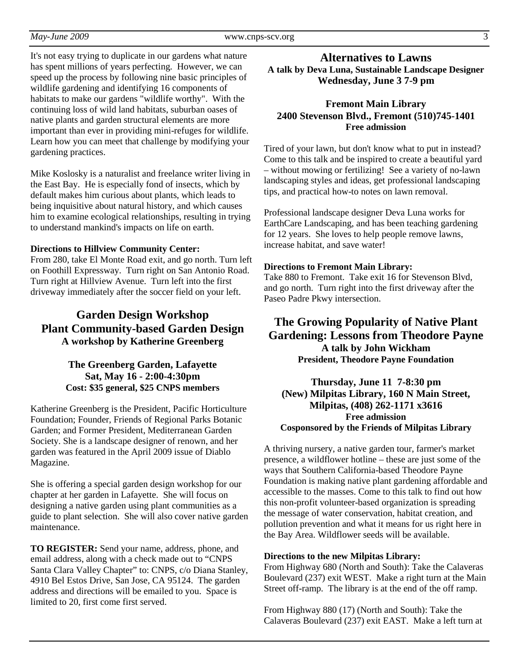It's not easy trying to duplicate in our gardens what nature has spent millions of years perfecting. However, we can speed up the process by following nine basic principles of wildlife gardening and identifying 16 components of habitats to make our gardens "wildlife worthy". With the continuing loss of wild land habitats, suburban oases of native plants and garden structural elements are more important than ever in providing mini-refuges for wildlife. Learn how you can meet that challenge by modifying your gardening practices.

Mike Koslosky is a naturalist and freelance writer living in the East Bay. He is especially fond of insects, which by default makes him curious about plants, which leads to being inquisitive about natural history, and which causes him to examine ecological relationships, resulting in trying to understand mankind's impacts on life on earth.

#### **Directions to Hillview Community Center:**

From 280, take El Monte Road exit, and go north. Turn left on Foothill Expressway. Turn right on San Antonio Road. Turn right at Hillview Avenue. Turn left into the first driveway immediately after the soccer field on your left.

# **Garden Design Workshop Plant Community-based Garden Design A workshop by Katherine Greenberg**

#### **The Greenberg Garden, Lafayette Sat, May 16 - 2:00-4:30pm Cost: \$35 general, \$25 CNPS members**

Katherine Greenberg is the President, Pacific Horticulture Foundation; Founder, Friends of Regional Parks Botanic Garden; and Former President, Mediterranean Garden Society. She is a landscape designer of renown, and her garden was featured in the April 2009 issue of Diablo Magazine.

She is offering a special garden design workshop for our chapter at her garden in Lafayette. She will focus on designing a native garden using plant communities as a guide to plant selection. She will also cover native garden maintenance.

**TO REGISTER:** Send your name, address, phone, and email address, along with a check made out to "CNPS Santa Clara Valley Chapter" to: CNPS, c/o Diana Stanley, 4910 Bel Estos Drive, San Jose, CA 95124. The garden address and directions will be emailed to you. Space is limited to 20, first come first served.

## **Alternatives to Lawns A talk by Deva Luna, Sustainable Landscape Designer Wednesday, June 3 7-9 pm**

## **Fremont Main Library 2400 Stevenson Blvd., Fremont (510)745-1401 Free admission**

Tired of your lawn, but don't know what to put in instead? Come to this talk and be inspired to create a beautiful yard – without mowing or fertilizing! See a variety of no-lawn landscaping styles and ideas, get professional landscaping tips, and practical how-to notes on lawn removal.

Professional landscape designer Deva Luna works for EarthCare Landscaping, and has been teaching gardening for 12 years. She loves to help people remove lawns, increase habitat, and save water!

## **Directions to Fremont Main Library:**

Take 880 to Fremont. Take exit 16 for Stevenson Blvd, and go north. Turn right into the first driveway after the Paseo Padre Pkwy intersection.

**The Growing Popularity of Native Plant Gardening: Lessons from Theodore Payne A talk by John Wickham President, Theodore Payne Foundation** 

**Thursday, June 11 7-8:30 pm (New) Milpitas Library, 160 N Main Street, Milpitas, (408) 262-1171 x3616 Free admission Cosponsored by the Friends of Milpitas Library** 

A thriving nursery, a native garden tour, farmer's market presence, a wildflower hotline – these are just some of the ways that Southern California-based Theodore Payne Foundation is making native plant gardening affordable and accessible to the masses. Come to this talk to find out how this non-profit volunteer-based organization is spreading the message of water conservation, habitat creation, and pollution prevention and what it means for us right here in the Bay Area. Wildflower seeds will be available.

#### **Directions to the new Milpitas Library:**

From Highway 680 (North and South): Take the Calaveras Boulevard (237) exit WEST. Make a right turn at the Main Street off-ramp. The library is at the end of the off ramp.

From Highway 880 (17) (North and South): Take the Calaveras Boulevard (237) exit EAST. Make a left turn at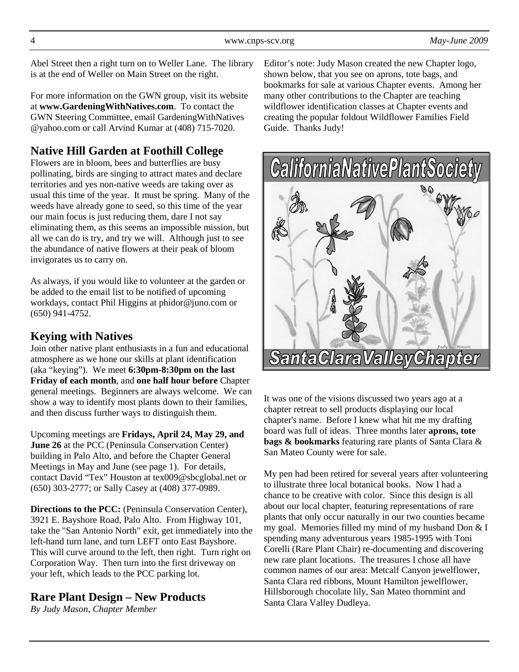Abel Street then a right turn on to Weller Lane. The library is at the end of Weller on Main Street on the right.

For more information on the GWN group, visit its website at **www.GardeningWithNatives.com**. To contact the GWN Steering Committee, email GardeningWithNatives @yahoo.com or call Arvind Kumar at (408) 715-7020.

# **Native Hill Garden at Foothill College**

Flowers are in bloom, bees and butterflies are busy pollinating, birds are singing to attract mates and declare territories and yes non-native weeds are taking over as usual this time of the year. It must be spring. Many of the weeds have already gone to seed, so this time of the year our main focus is just reducing them, dare I not say eliminating them, as this seems an impossible mission, but all we can do is try, and try we will. Although just to see the abundance of native flowers at their peak of bloom invigorates us to carry on.

As always, if you would like to volunteer at the garden or be added to the email list to be notified of upcoming workdays, contact Phil Higgins at phidor@juno.com or (650) 941-4752.

# **Keying with Natives**

Join other native plant enthusiasts in a fun and educational atmosphere as we hone our skills at plant identification (aka "keying"). We meet **6:30pm-8:30pm on the last Friday of each month**, and **one half hour before** Chapter general meetings. Beginners are always welcome. We can show a way to identify most plants down to their families, and then discuss further ways to distinguish them.

Upcoming meetings are **Fridays, April 24, May 29, and June 26** at the PCC (Peninsula Conservation Center) building in Palo Alto, and before the Chapter General Meetings in May and June (see page 1). For details, contact David "Tex" Houston at tex009@sbcglobal.net or (650) 303-2777; or Sally Casey at (408) 377-0989.

**Directions to the PCC:** (Peninsula Conservation Center), 3921 E. Bayshore Road, Palo Alto. From Highway 101, take the "San Antonio North" exit, get immediately into the left-hand turn lane, and turn LEFT onto East Bayshore. This will curve around to the left, then right. Turn right on Corporation Way. Then turn into the first driveway on your left, which leads to the PCC parking lot.

# **Rare Plant Design – New Products**

*By Judy Mason, Chapter Member* 

Editor's note: Judy Mason created the new Chapter logo, shown below, that you see on aprons, tote bags, and bookmarks for sale at various Chapter events. Among her many other contributions to the Chapter are teaching wildflower identification classes at Chapter events and creating the popular foldout Wildflower Families Field Guide. Thanks Judy!



It was one of the visions discussed two years ago at a chapter retreat to sell products displaying our local chapter's name. Before I knew what hit me my drafting board was full of ideas. Three months later **aprons, tote bags & bookmarks** featuring rare plants of Santa Clara & San Mateo County were for sale.

My pen had been retired for several years after volunteering to illustrate three local botanical books. Now I had a chance to be creative with color. Since this design is all about our local chapter, featuring representations of rare plants that only occur naturally in our two counties became my goal. Memories filled my mind of my husband Don & I spending many adventurous years 1985-1995 with Toni Corelli (Rare Plant Chair) re-documenting and discovering new rare plant locations. The treasures I chose all have common names of our area: Metcalf Canyon jewelflower, Santa Clara red ribbons, Mount Hamilton jewelflower, Hillsborough chocolate lily, San Mateo thornmint and Santa Clara Valley Dudleya.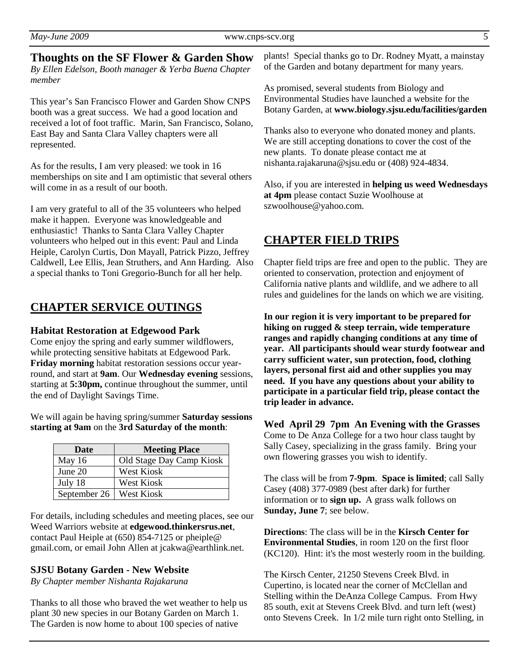**Thoughts on the SF Flower & Garden Show**  *By Ellen Edelson, Booth manager & Yerba Buena Chapter member* 

This year's San Francisco Flower and Garden Show CNPS booth was a great success. We had a good location and received a lot of foot traffic. Marin, San Francisco, Solano, East Bay and Santa Clara Valley chapters were all represented.

As for the results, I am very pleased: we took in 16 memberships on site and I am optimistic that several others will come in as a result of our booth.

I am very grateful to all of the 35 volunteers who helped make it happen. Everyone was knowledgeable and enthusiastic! Thanks to Santa Clara Valley Chapter volunteers who helped out in this event: Paul and Linda Heiple, Carolyn Curtis, Don Mayall, Patrick Pizzo, Jeffrey Caldwell, Lee Ellis, Jean Struthers, and Ann Harding. Also a special thanks to Toni Gregorio-Bunch for all her help.

## **CHAPTER SERVICE OUTINGS**

#### **Habitat Restoration at Edgewood Park**

Come enjoy the spring and early summer wildflowers, while protecting sensitive habitats at Edgewood Park. **Friday morning** habitat restoration sessions occur yearround, and start at **9am**. Our **Wednesday evening** sessions, starting at **5:30pm,** continue throughout the summer, until the end of Daylight Savings Time.

We will again be having spring/summer **Saturday sessions starting at 9am** on the **3rd Saturday of the month**:

| Date                      | <b>Meeting Place</b>     |  |
|---------------------------|--------------------------|--|
| May $16$                  | Old Stage Day Camp Kiosk |  |
| June $20$                 | West Kiosk               |  |
| July 18                   | West Kiosk               |  |
| September 26   West Kiosk |                          |  |

For details, including schedules and meeting places, see our Weed Warriors website at **edgewood.thinkersrus.net**, contact Paul Heiple at (650) 854-7125 or pheiple@ gmail.com, or email John Allen at jcakwa@earthlink.net.

#### **SJSU Botany Garden - New Website**

*By Chapter member Nishanta Rajakaruna* 

Thanks to all those who braved the wet weather to help us plant 30 new species in our Botany Garden on March 1. The Garden is now home to about 100 species of native

plants! Special thanks go to Dr. Rodney Myatt, a mainstay of the Garden and botany department for many years.

As promised, several students from Biology and Environmental Studies have launched a website for the Botany Garden, at **www.biology.sjsu.edu/facilities/garden** 

Thanks also to everyone who donated money and plants. We are still accepting donations to cover the cost of the new plants. To donate please contact me at nishanta.rajakaruna@sjsu.edu or (408) 924-4834.

Also, if you are interested in **helping us weed Wednesdays at 4pm** please contact Suzie Woolhouse at szwoolhouse@yahoo.com.

## **CHAPTER FIELD TRIPS**

Chapter field trips are free and open to the public. They are oriented to conservation, protection and enjoyment of California native plants and wildlife, and we adhere to all rules and guidelines for the lands on which we are visiting.

**In our region it is very important to be prepared for hiking on rugged & steep terrain, wide temperature ranges and rapidly changing conditions at any time of year. All participants should wear sturdy footwear and carry sufficient water, sun protection, food, clothing layers, personal first aid and other supplies you may need. If you have any questions about your ability to participate in a particular field trip, please contact the trip leader in advance.** 

**Wed April 29 7pm An Evening with the Grasses**  Come to De Anza College for a two hour class taught by Sally Casey, specializing in the grass family. Bring your own flowering grasses you wish to identify.

The class will be from **7-9pm**. **Space is limited**; call Sally Casey (408) 377-0989 (best after dark) for further information or to **sign up.** A grass walk follows on **Sunday, June 7**; see below.

**Directions**: The class will be in the **Kirsch Center for Environmental Studies**, in room 120 on the first floor (KC120). Hint: it's the most westerly room in the building.

The Kirsch Center, 21250 Stevens Creek Blvd. in Cupertino, is located near the corner of McClellan and Stelling within the DeAnza College Campus. From Hwy 85 south, exit at Stevens Creek Blvd. and turn left (west) onto Stevens Creek. In 1/2 mile turn right onto Stelling, in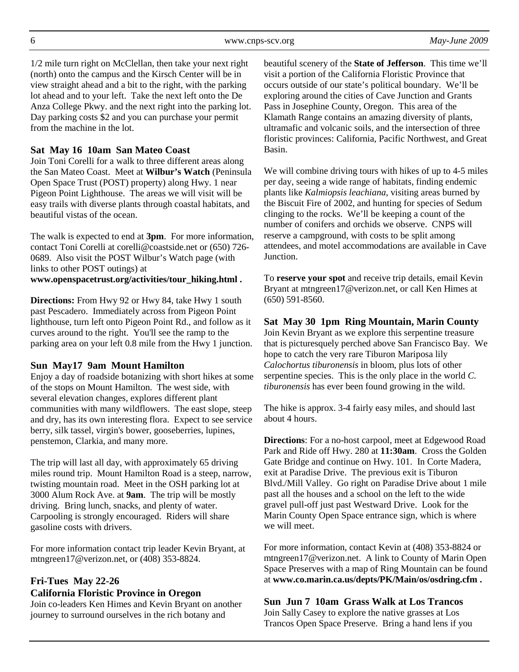1/2 mile turn right on McClellan, then take your next right (north) onto the campus and the Kirsch Center will be in view straight ahead and a bit to the right, with the parking lot ahead and to your left. Take the next left onto the De Anza College Pkwy. and the next right into the parking lot. Day parking costs \$2 and you can purchase your permit from the machine in the lot.

## **Sat May 16 10am San Mateo Coast**

Join Toni Corelli for a walk to three different areas along the San Mateo Coast. Meet at **Wilbur's Watch** (Peninsula Open Space Trust (POST) property) along Hwy. 1 near Pigeon Point Lighthouse. The areas we will visit will be easy trails with diverse plants through coastal habitats, and beautiful vistas of the ocean.

The walk is expected to end at **3pm**. For more information, contact Toni Corelli at corelli@coastside.net or (650) 726- 0689. Also visit the POST Wilbur's Watch page (with links to other POST outings) at **www.openspacetrust.org/activities/tour\_hiking.html .**

**Directions:** From Hwy 92 or Hwy 84, take Hwy 1 south past Pescadero. Immediately across from Pigeon Point lighthouse, turn left onto Pigeon Point Rd., and follow as it curves around to the right. You'll see the ramp to the parking area on your left 0.8 mile from the Hwy 1 junction.

#### **Sun May17 9am Mount Hamilton**

Enjoy a day of roadside botanizing with short hikes at some of the stops on Mount Hamilton. The west side, with several elevation changes, explores different plant communities with many wildflowers. The east slope, steep and dry, has its own interesting flora. Expect to see service berry, silk tassel, virgin's bower, gooseberries, lupines, penstemon, Clarkia, and many more.

The trip will last all day, with approximately 65 driving miles round trip. Mount Hamilton Road is a steep, narrow, twisting mountain road. Meet in the OSH parking lot at 3000 Alum Rock Ave. at **9am**. The trip will be mostly driving. Bring lunch, snacks, and plenty of water. Carpooling is strongly encouraged. Riders will share gasoline costs with drivers.

For more information contact trip leader Kevin Bryant, at mtngreen17@verizon.net, or (408) 353-8824.

## **Fri-Tues May 22-26 California Floristic Province in Oregon**

Join co-leaders Ken Himes and Kevin Bryant on another journey to surround ourselves in the rich botany and

beautiful scenery of the **State of Jefferson**. This time we'll visit a portion of the California Floristic Province that occurs outside of our state's political boundary. We'll be exploring around the cities of Cave Junction and Grants Pass in Josephine County, Oregon. This area of the Klamath Range contains an amazing diversity of plants, ultramafic and volcanic soils, and the intersection of three floristic provinces: California, Pacific Northwest, and Great Basin.

We will combine driving tours with hikes of up to 4-5 miles per day, seeing a wide range of habitats, finding endemic plants like *Kalmiopsis leachiana*, visiting areas burned by the Biscuit Fire of 2002, and hunting for species of Sedum clinging to the rocks. We'll be keeping a count of the number of conifers and orchids we observe. CNPS will reserve a campground, with costs to be split among attendees, and motel accommodations are available in Cave **Junction** 

To **reserve your spot** and receive trip details, email Kevin Bryant at mtngreen17@verizon.net, or call Ken Himes at (650) 591-8560.

# **Sat May 30 1pm Ring Mountain, Marin County**

Join Kevin Bryant as we explore this serpentine treasure that is picturesquely perched above San Francisco Bay. We hope to catch the very rare Tiburon Mariposa lily *Calochortus tiburonensis* in bloom, plus lots of other serpentine species. This is the only place in the world *C. tiburonensis* has ever been found growing in the wild.

The hike is approx. 3-4 fairly easy miles, and should last about 4 hours.

**Directions**: For a no-host carpool, meet at Edgewood Road Park and Ride off Hwy. 280 at **11:30am**. Cross the Golden Gate Bridge and continue on Hwy. 101. In Corte Madera, exit at Paradise Drive. The previous exit is Tiburon Blvd./Mill Valley. Go right on Paradise Drive about 1 mile past all the houses and a school on the left to the wide gravel pull-off just past Westward Drive. Look for the Marin County Open Space entrance sign, which is where we will meet.

For more information, contact Kevin at (408) 353-8824 or mtngreen17@verizon.net. A link to County of Marin Open Space Preserves with a map of Ring Mountain can be found at **www.co.marin.ca.us/depts/PK/Main/os/osdring.cfm .**

**Sun Jun 7 10am Grass Walk at Los Trancos**  Join Sally Casey to explore the native grasses at Los Trancos Open Space Preserve. Bring a hand lens if you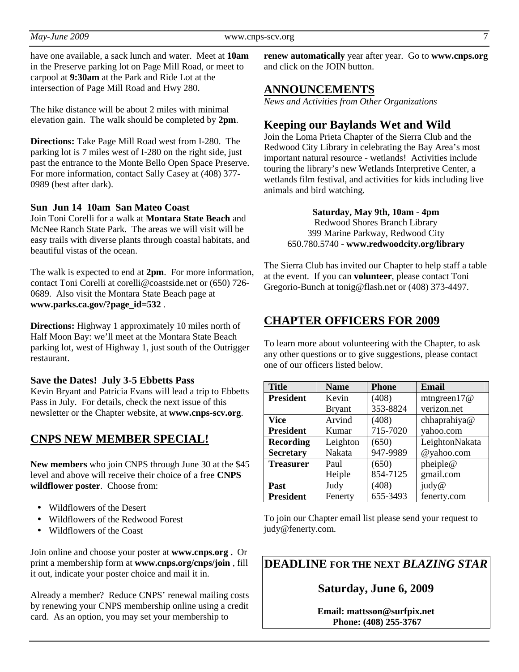have one available, a sack lunch and water. Meet at **10am** in the Preserve parking lot on Page Mill Road, or meet to carpool at **9:30am** at the Park and Ride Lot at the intersection of Page Mill Road and Hwy 280.

The hike distance will be about 2 miles with minimal elevation gain. The walk should be completed by **2pm**.

**Directions:** Take Page Mill Road west from I-280. The parking lot is 7 miles west of I-280 on the right side, just past the entrance to the Monte Bello Open Space Preserve. For more information, contact Sally Casey at (408) 377- 0989 (best after dark).

#### **Sun Jun 14 10am San Mateo Coast**

Join Toni Corelli for a walk at **Montara State Beach** and McNee Ranch State Park. The areas we will visit will be easy trails with diverse plants through coastal habitats, and beautiful vistas of the ocean.

The walk is expected to end at **2pm**. For more information, contact Toni Corelli at corelli@coastside.net or (650) 726- 0689. Also visit the Montara State Beach page at **www.parks.ca.gov/?page\_id=532** .

**Directions:** Highway 1 approximately 10 miles north of Half Moon Bay: we'll meet at the Montara State Beach parking lot, west of Highway 1, just south of the Outrigger restaurant.

#### **Save the Dates! July 3-5 Ebbetts Pass**

Kevin Bryant and Patricia Evans will lead a trip to Ebbetts Pass in July. For details, check the next issue of this newsletter or the Chapter website, at **www.cnps-scv.org**.

#### **CNPS NEW MEMBER SPECIAL!**

**New members** who join CNPS through June 30 at the \$45 level and above will receive their choice of a free **CNPS wildflower poster**. Choose from:

- Wildflowers of the Desert
- Wildflowers of the Redwood Forest
- Wildflowers of the Coast

Join online and choose your poster at **www.cnps.org .** Or print a membership form at **www.cnps.org/cnps/join** , fill it out, indicate your poster choice and mail it in.

Already a member? Reduce CNPS' renewal mailing costs by renewing your CNPS membership online using a credit card. As an option, you may set your membership to

**renew automatically** year after year. Go to **www.cnps.org** and click on the JOIN button.

## **ANNOUNCEMENTS**

*News and Activities from Other Organizations*

## **Keeping our Baylands Wet and Wild**

Join the Loma Prieta Chapter of the Sierra Club and the Redwood City Library in celebrating the Bay Area's most important natural resource - wetlands! Activities include touring the library's new Wetlands Interpretive Center, a wetlands film festival, and activities for kids including live animals and bird watching.

> **Saturday, May 9th, 10am - 4pm**  Redwood Shores Branch Library 399 Marine Parkway, Redwood City 650.780.5740 - **www.redwoodcity.org/library**

The Sierra Club has invited our Chapter to help staff a table at the event. If you can **volunteer**, please contact Toni Gregorio-Bunch at tonig@flash.net or (408) 373-4497.

## **CHAPTER OFFICERS FOR 2009**

To learn more about volunteering with the Chapter, to ask any other questions or to give suggestions, please contact one of our officers listed below.

| <b>Title</b>     | <b>Name</b>   | <b>Phone</b> | <b>Email</b>   |
|------------------|---------------|--------------|----------------|
| <b>President</b> | Kevin         | (408)        | mtngreen $17@$ |
|                  | <b>Bryant</b> | 353-8824     | verizon.net    |
| <b>Vice</b>      | Arvind        | (408)        | chhaprahiya@   |
| <b>President</b> | Kumar         | 715-7020     | vahoo.com      |
| <b>Recording</b> | Leighton      | (650)        | LeightonNakata |
| <b>Secretary</b> | Nakata        | 947-9989     | @yahoo.com     |
| <b>Treasurer</b> | Paul          | (650)        | pheiple@       |
|                  | Heiple        | 854-7125     | gmail.com      |
| Past             | Judy          | (408)        | judy@          |
| <b>President</b> | Fenerty       | 655-3493     | fenerty.com    |

To join our Chapter email list please send your request to judy@fenerty.com.

**DEADLINE FOR THE NEXT** *BLAZING STAR* 

#### **Saturday, June 6, 2009**

**Email: mattsson@surfpix.net Phone: (408) 255-3767**